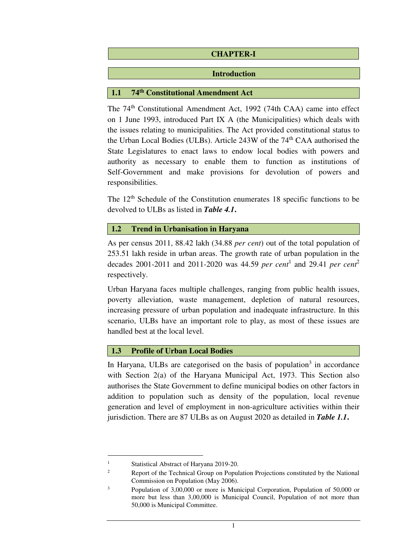# **CHAPTER-I**

### **Introduction**

# **1.1 74th Constitutional Amendment Act**

The 74th Constitutional Amendment Act, 1992 (74th CAA) came into effect on 1 June 1993, introduced Part IX A (the Municipalities) which deals with the issues relating to municipalities. The Act provided constitutional status to the Urban Local Bodies (ULBs). Article 243W of the 74<sup>th</sup> CAA authorised the State Legislatures to enact laws to endow local bodies with powers and authority as necessary to enable them to function as institutions of Self-Government and make provisions for devolution of powers and responsibilities.

The  $12<sup>th</sup>$  Schedule of the Constitution enumerates 18 specific functions to be devolved to ULBs as listed in *Table 4.1***.** 

### **1.2 Trend in Urbanisation in Haryana**

As per census 2011, 88.42 lakh (34.88 *per cent*) out of the total population of 253.51 lakh reside in urban areas. The growth rate of urban population in the decades 2001-2011 and 2011-2020 was 44.59 *per cent*<sup>1</sup> and 29.41 *per cent*<sup>2</sup> respectively.

Urban Haryana faces multiple challenges, ranging from public health issues, poverty alleviation, waste management, depletion of natural resources, increasing pressure of urban population and inadequate infrastructure. In this scenario, ULBs have an important role to play, as most of these issues are handled best at the local level.

# **1.3 Profile of Urban Local Bodies**

In Haryana, ULBs are categorised on the basis of population<sup>3</sup> in accordance with Section 2(a) of the Haryana Municipal Act, 1973. This Section also authorises the State Government to define municipal bodies on other factors in addition to population such as density of the population, local revenue generation and level of employment in non-agriculture activities within their jurisdiction. There are 87 ULBs as on August 2020 as detailed in *Table 1.1***.** 

l

<sup>1</sup> Statistical Abstract of Haryana 2019-20.

 $\overline{2}$  Report of the Technical Group on Population Projections constituted by the National Commission on Population (May 2006).

<sup>3</sup> Population of 3,00,000 or more is Municipal Corporation, Population of 50,000 or more but less than 3,00,000 is Municipal Council, Population of not more than 50,000 is Municipal Committee.